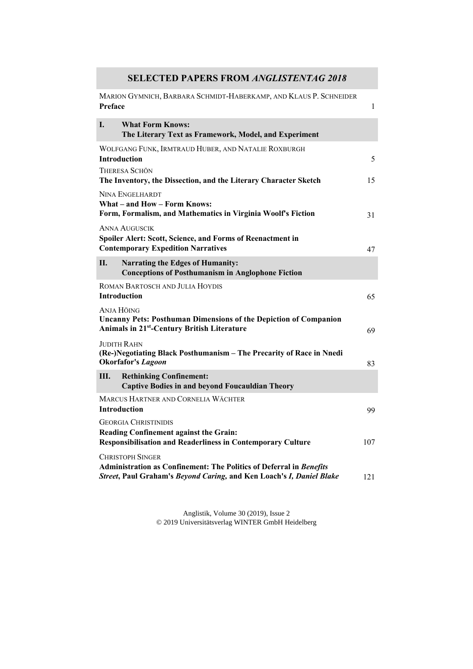## **SELECTED PAPERS FROM** *ANGLISTENTAG 2018*

| MARION GYMNICH, BARBARA SCHMIDT-HABERKAMP, AND KLAUS P. SCHNEIDER<br>Preface                                                                                           | $\mathbf{1}$ |
|------------------------------------------------------------------------------------------------------------------------------------------------------------------------|--------------|
| I.<br><b>What Form Knows:</b><br>The Literary Text as Framework, Model, and Experiment                                                                                 |              |
| WOLFGANG FUNK, IRMTRAUD HUBER, AND NATALIE ROXBURGH<br><b>Introduction</b>                                                                                             | 5            |
| <b>THERESA SCHÖN</b><br>The Inventory, the Dissection, and the Literary Character Sketch                                                                               | 15           |
| <b>NINA ENGELHARDT</b><br>What - and How - Form Knows:<br>Form, Formalism, and Mathematics in Virginia Woolf's Fiction                                                 | 31           |
| <b>ANNA AUGUSCIK</b><br>Spoiler Alert: Scott, Science, and Forms of Reenactment in<br><b>Contemporary Expedition Narratives</b>                                        | 47           |
| II.<br><b>Narrating the Edges of Humanity:</b><br><b>Conceptions of Posthumanism in Anglophone Fiction</b>                                                             |              |
| ROMAN BARTOSCH AND JULIA HOYDIS<br>Introduction                                                                                                                        | 65           |
| Anja Höing<br><b>Uncanny Pets: Posthuman Dimensions of the Depiction of Companion</b><br><b>Animals in 21st-Century British Literature</b>                             | 69           |
| <b>JUDITH RAHN</b><br>(Re-)Negotiating Black Posthumanism - The Precarity of Race in Nnedi<br><b>Okorfafor's Lagoon</b>                                                | 83           |
| Ш.<br><b>Rethinking Confinement:</b><br><b>Captive Bodies in and beyond Foucauldian Theory</b>                                                                         |              |
| MARCUS HARTNER AND CORNELIA WÄCHTER<br><b>Introduction</b>                                                                                                             | 99           |
| <b>GEORGIA CHRISTINIDIS</b><br>Reading Confinement against the Grain:<br><b>Responsibilisation and Readerliness in Contemporary Culture</b>                            | 107          |
| <b>CHRISTOPH SINGER</b><br>Administration as Confinement: The Politics of Deferral in Benefits<br>Street, Paul Graham's Beyond Caring, and Ken Loach's I, Daniel Blake | 121          |